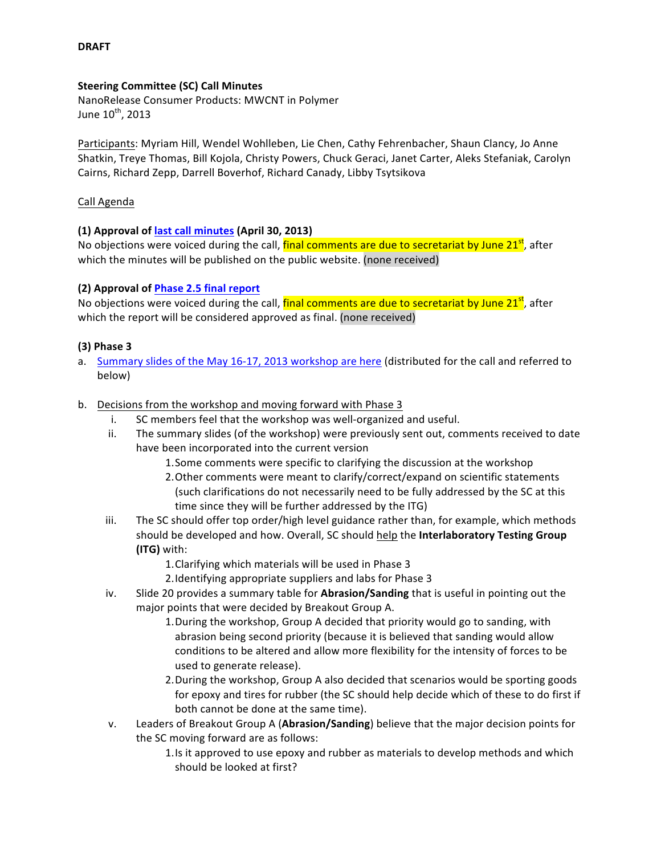## **DRAFT**

#### **Steering Committee (SC) Call Minutes**

NanoRelease Consumer Products: MWCNT in Polymer June  $10^{th}$ , 2013

Participants: Myriam Hill, Wendel Wohlleben, Lie Chen, Cathy Fehrenbacher, Shaun Clancy, Jo Anne Shatkin, Treye Thomas, Bill Kojola, Christy Powers, Chuck Geraci, Janet Carter, Aleks Stefaniak, Carolyn Cairns, Richard Zepp, Darrell Boverhof, Richard Canady, Libby Tsytsikova

#### Call Agenda

## **(1) Approval of last call minutes (April 30, 2013)**

No objections were voiced during the call, final comments are due to secretariat by June 21<sup>st</sup>, after which the minutes will be published on the public website. (none received)

## **(2) Approval of Phase 2.5 final report**

No objections were voiced during the call, final comments are due to secretariat by June 21<sup>st</sup>, after which the report will be considered approved as final. (none received)

## **(3) Phase 3**

a. Summary slides of the May 16-17, 2013 workshop are here (distributed for the call and referred to below)

## b. Decisions from the workshop and moving forward with Phase 3

- i. SC members feel that the workshop was well-organized and useful.
- ii. The summary slides (of the workshop) were previously sent out, comments received to date have been incorporated into the current version
	- 1. Some comments were specific to clarifying the discussion at the workshop
	- 2. Other comments were meant to clarify/correct/expand on scientific statements (such clarifications do not necessarily need to be fully addressed by the SC at this time since they will be further addressed by the ITG)
- iii. The SC should offer top order/high level guidance rather than, for example, which methods should be developed and how. Overall, SC should help the **Interlaboratory Testing Group (ITG)** with:
	- 1. Clarifying which materials will be used in Phase 3
	- 2. Identifying appropriate suppliers and labs for Phase 3
- iv. Slide 20 provides a summary table for **Abrasion/Sanding** that is useful in pointing out the major points that were decided by Breakout Group A.
	- 1. During the workshop, Group A decided that priority would go to sanding, with abrasion being second priority (because it is believed that sanding would allow conditions to be altered and allow more flexibility for the intensity of forces to be used to generate release).
	- 2. During the workshop, Group A also decided that scenarios would be sporting goods for epoxy and tires for rubber (the SC should help decide which of these to do first if both cannot be done at the same time).
- v. Leaders of Breakout Group A (Abrasion/Sanding) believe that the major decision points for the SC moving forward are as follows:
	- 1. Is it approved to use epoxy and rubber as materials to develop methods and which should be looked at first?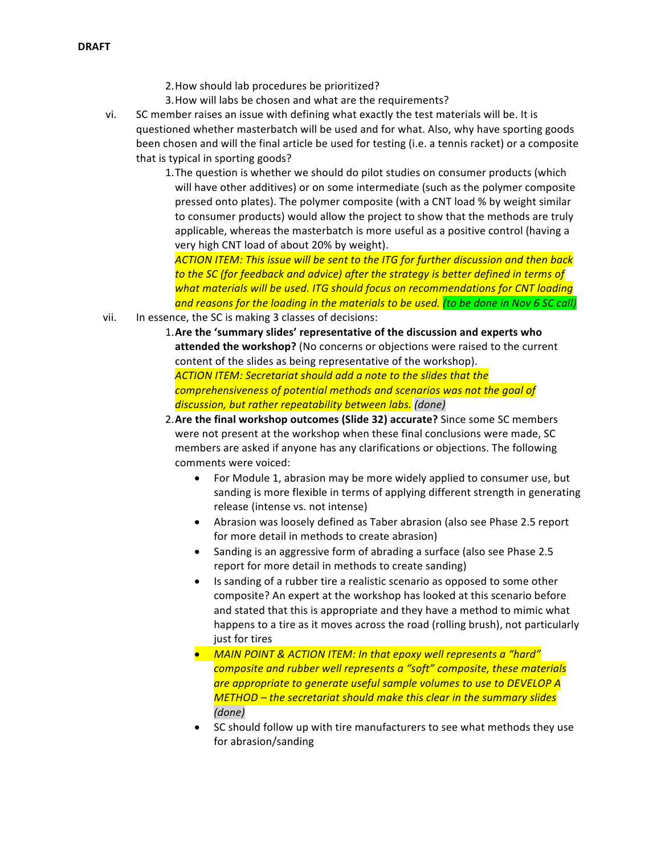2. How should lab procedures be prioritized?

- 3. How will labs be chosen and what are the requirements?
- vi. SC member raises an issue with defining what exactly the test materials will be. It is questioned whether masterbatch will be used and for what. Also, why have sporting goods been chosen and will the final article be used for testing (i.e. a tennis racket) or a composite that is typical in sporting goods?
	- 1. The question is whether we should do pilot studies on consumer products (which will have other additives) or on some intermediate (such as the polymer composite pressed onto plates). The polymer composite (with a CNT load % by weight similar to consumer products) would allow the project to show that the methods are truly applicable, whereas the masterbatch is more useful as a positive control (having a very high CNT load of about 20% by weight).

ACTION ITEM: This issue will be sent to the ITG for further discussion and then back *to* the SC (for feedback and advice) after the strategy is better defined in terms of what materials will be used. *ITG* should focus on recommendations for CNT loading and reasons for the loading in the materials to be used. (to be done in Nov 6 SC call)

vii. In essence, the SC is making 3 classes of decisions:

1. Are the 'summary slides' representative of the discussion and experts who **attended the workshop?** (No concerns or objections were raised to the current content of the slides as being representative of the workshop). ACTION ITEM: Secretariat should add a note to the slides that the comprehensiveness of potential methods and scenarios was not the goal of *discussion, but rather repeatability between labs. (done)*

- 2. Are the final workshop outcomes (Slide 32) accurate? Since some SC members were not present at the workshop when these final conclusions were made, SC members are asked if anyone has any clarifications or objections. The following comments were voiced:
	- For Module 1, abrasion may be more widely applied to consumer use, but sanding is more flexible in terms of applying different strength in generating release (intense vs. not intense)
	- Abrasion was loosely defined as Taber abrasion (also see Phase 2.5 report for more detail in methods to create abrasion)
	- Sanding is an aggressive form of abrading a surface (also see Phase 2.5 report for more detail in methods to create sanding)
	- Is sanding of a rubber tire a realistic scenario as opposed to some other composite? An expert at the workshop has looked at this scenario before and stated that this is appropriate and they have a method to mimic what happens to a tire as it moves across the road (rolling brush), not particularly just for tires
	- MAIN POINT & ACTION ITEM: In that epoxy well represents a "hard" composite and rubber well represents a "soft" composite, these materials are appropriate to generate useful sample volumes to use to DEVELOP A *METHOD* – *the secretariat should make this clear in the summary slides (done)*
	- SC should follow up with tire manufacturers to see what methods they use for abrasion/sanding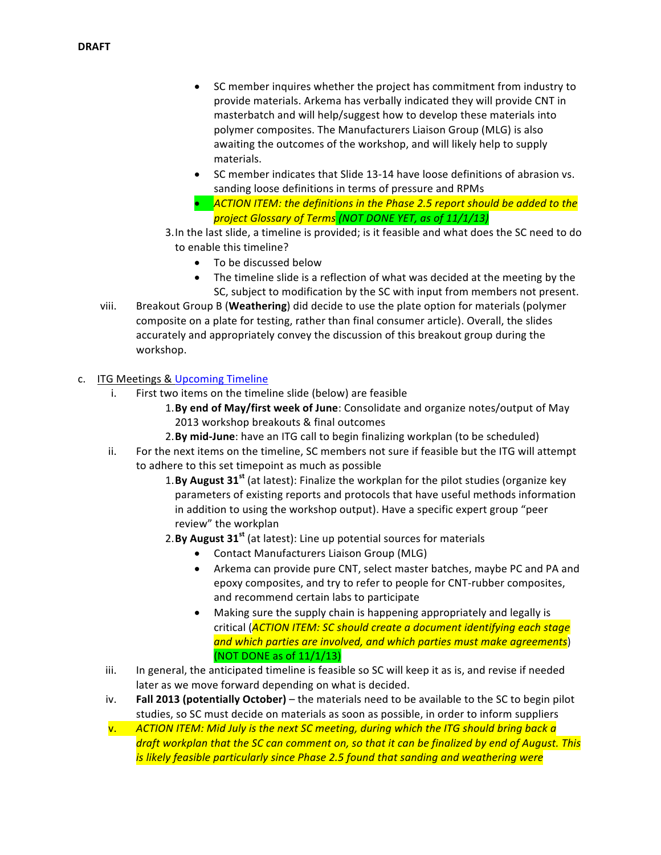- SC member inquires whether the project has commitment from industry to provide materials. Arkema has verbally indicated they will provide CNT in masterbatch and will help/suggest how to develop these materials into polymer composites. The Manufacturers Liaison Group (MLG) is also awaiting the outcomes of the workshop, and will likely help to supply materials.
- SC member indicates that Slide 13-14 have loose definitions of abrasion vs. sanding loose definitions in terms of pressure and RPMs • *ACTION ITEM: the definitions in the Phase 2.5 report should be added to the*
- *project Glossary of Terms (NOT DONE YET, as of 11/1/13)*
- 3. In the last slide, a timeline is provided; is it feasible and what does the SC need to do to enable this timeline?
	- To be discussed below
	- The timeline slide is a reflection of what was decided at the meeting by the SC, subject to modification by the SC with input from members not present.
- viii. Breakout Group B (**Weathering**) did decide to use the plate option for materials (polymer composite on a plate for testing, rather than final consumer article). Overall, the slides accurately and appropriately convey the discussion of this breakout group during the workshop.

# c. ITG Meetings & Upcoming Timeline

- i. First two items on the timeline slide (below) are feasible
	- 1. By end of May/first week of June: Consolidate and organize notes/output of May 2013 workshop breakouts & final outcomes
	- 2. By mid-June: have an ITG call to begin finalizing workplan (to be scheduled)
- ii. For the next items on the timeline, SC members not sure if feasible but the ITG will attempt to adhere to this set timepoint as much as possible
	- 1. By August 31<sup>st</sup> (at latest): Finalize the workplan for the pilot studies (organize key parameters of existing reports and protocols that have useful methods information in addition to using the workshop output). Have a specific expert group "peer review" the workplan
	- 2. By August 31<sup>st</sup> (at latest): Line up potential sources for materials
		- Contact Manufacturers Liaison Group (MLG)
		- Arkema can provide pure CNT, select master batches, maybe PC and PA and epoxy composites, and try to refer to people for CNT-rubber composites, and recommend certain labs to participate
		- Making sure the supply chain is happening appropriately and legally is critical (*ACTION ITEM: SC should create a document identifying each stage* and which parties are involved, and which parties must make agreements)  $(NOT DONE as of  $11/1/13$ )$
- iii. In general, the anticipated timeline is feasible so SC will keep it as is, and revise if needed later as we move forward depending on what is decided.
- iv. **Fall 2013 (potentially October)** the materials need to be available to the SC to begin pilot studies, so SC must decide on materials as soon as possible, in order to inform suppliers
- v. *ACTION ITEM: Mid July is the next SC meeting, during which the ITG should bring back a* draft workplan that the SC can comment on, so that it can be finalized by end of August. This *is* likely feasible particularly since Phase 2.5 found that sanding and weathering were